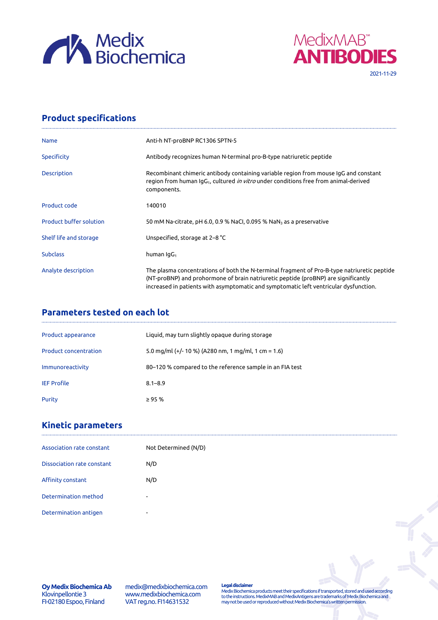



# **Product specifications**

| <b>Name</b>                    | Anti-h NT-proBNP RC1306 SPTN-5                                                                                                                                                                                                                                             |
|--------------------------------|----------------------------------------------------------------------------------------------------------------------------------------------------------------------------------------------------------------------------------------------------------------------------|
| Specificity                    | Antibody recognizes human N-terminal pro-B-type natriuretic peptide                                                                                                                                                                                                        |
| <b>Description</b>             | Recombinant chimeric antibody containing variable region from mouse IgG and constant<br>region from human IgG <sub>1</sub> , cultured <i>in vitro</i> under conditions free from animal-derived<br>components.                                                             |
| Product code                   | 140010                                                                                                                                                                                                                                                                     |
| <b>Product buffer solution</b> | 50 mM Na-citrate, pH 6.0, 0.9 % NaCl, 0.095 % NaN $_3$ as a preservative                                                                                                                                                                                                   |
| Shelf life and storage         | Unspecified, storage at 2-8 °C                                                                                                                                                                                                                                             |
| <b>Subclass</b>                | human IqG <sub>1</sub>                                                                                                                                                                                                                                                     |
| Analyte description            | The plasma concentrations of both the N-terminal fragment of Pro-B-type natriuretic peptide<br>(NT-proBNP) and prohormone of brain natriuretic peptide (proBNP) are significantly<br>increased in patients with asymptomatic and symptomatic left ventricular dysfunction. |

## **Parameters tested on each lot**

| Product appearance           | Liquid, may turn slightly opaque during storage          |
|------------------------------|----------------------------------------------------------|
| <b>Product concentration</b> | 5.0 mg/ml (+/- 10 %) (A280 nm, 1 mg/ml, 1 cm = 1.6)      |
| Immunoreactivity             | 80-120 % compared to the reference sample in an FIA test |
| <b>IEF Profile</b>           | $8.1 - 8.9$                                              |
| Purity                       | $\geq$ 95 %                                              |

## **Kinetic parameters**

| Association rate constant  | Not Determined (N/D)     |
|----------------------------|--------------------------|
| Dissociation rate constant | N/D                      |
| Affinity constant          | N/D                      |
| Determination method       | $\sim$                   |
| Determination antigen      | $\overline{\phantom{a}}$ |

**Oy Medix Biochemica Ab** Klovinpellontie 3 FI-02180 Espoo, Finland

medix@medixbiochemica.com www.medixbiochemica.com VAT reg.no. FI14631532

**Legal disclaimer** Medix Biochemica products meet their specifications if transported, stored and used according to the instructions. MedixMAB and MedixAntigens are trademarks of Medix Biochemica and may not be used or reproduced without Medix Biochemica's written permission.